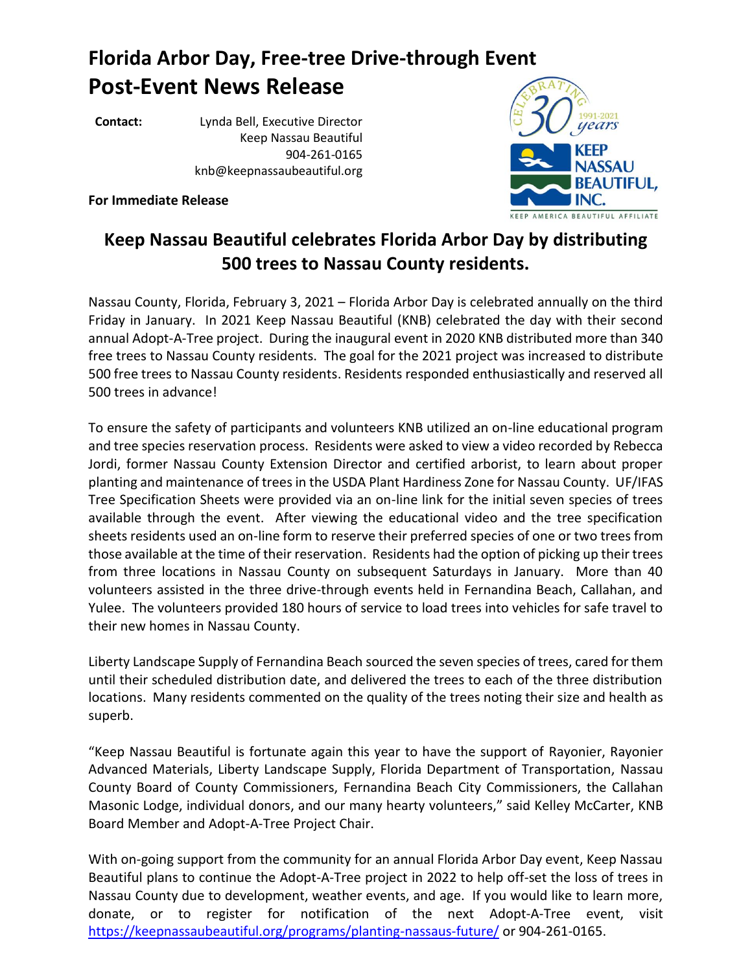## **Florida Arbor Day, Free-tree Drive-through Event Post-Event News Release**

**Contact:** Lynda Bell, Executive Director Keep Nassau Beautiful 904-261-0165 knb@keepnassaubeautiful.org

**For Immediate Release**



## **Keep Nassau Beautiful celebrates Florida Arbor Day by distributing 500 trees to Nassau County residents.**

Nassau County, Florida, February 3, 2021 – Florida Arbor Day is celebrated annually on the third Friday in January. In 2021 Keep Nassau Beautiful (KNB) celebrated the day with their second annual Adopt-A-Tree project. During the inaugural event in 2020 KNB distributed more than 340 free trees to Nassau County residents. The goal for the 2021 project was increased to distribute 500 free trees to Nassau County residents. Residents responded enthusiastically and reserved all 500 trees in advance!

To ensure the safety of participants and volunteers KNB utilized an on-line educational program and tree species reservation process. Residents were asked to view a video recorded by Rebecca Jordi, former Nassau County Extension Director and certified arborist, to learn about proper planting and maintenance of trees in the USDA Plant Hardiness Zone for Nassau County. UF/IFAS Tree Specification Sheets were provided via an on-line link for the initial seven species of trees available through the event. After viewing the educational video and the tree specification sheets residents used an on-line form to reserve their preferred species of one or two trees from those available at the time of their reservation. Residents had the option of picking up their trees from three locations in Nassau County on subsequent Saturdays in January. More than 40 volunteers assisted in the three drive-through events held in Fernandina Beach, Callahan, and Yulee. The volunteers provided 180 hours of service to load trees into vehicles for safe travel to their new homes in Nassau County.

Liberty Landscape Supply of Fernandina Beach sourced the seven species of trees, cared for them until their scheduled distribution date, and delivered the trees to each of the three distribution locations. Many residents commented on the quality of the trees noting their size and health as superb.

"Keep Nassau Beautiful is fortunate again this year to have the support of Rayonier, Rayonier Advanced Materials, Liberty Landscape Supply, Florida Department of Transportation, Nassau County Board of County Commissioners, Fernandina Beach City Commissioners, the Callahan Masonic Lodge, individual donors, and our many hearty volunteers," said Kelley McCarter, KNB Board Member and Adopt-A-Tree Project Chair.

With on-going support from the community for an annual Florida Arbor Day event, Keep Nassau Beautiful plans to continue the Adopt-A-Tree project in 2022 to help off-set the loss of trees in Nassau County due to development, weather events, and age. If you would like to learn more, donate, or to register for notification of the next Adopt-A-Tree event, visit <https://keepnassaubeautiful.org/programs/planting-nassaus-future/> or 904-261-0165.